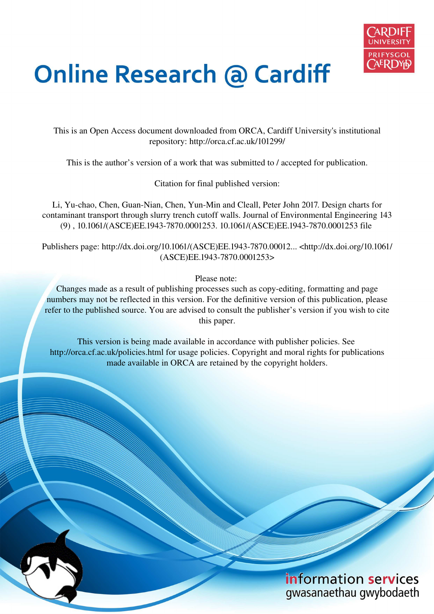

# **Online Research @ Cardiff**

This is an Open Access document downloaded from ORCA, Cardiff University's institutional repository: http://orca.cf.ac.uk/101299/

This is the author's version of a work that was submitted to / accepted for publication.

Citation for final published version:

Li, Yu-chao, Chen, Guan-Nian, Chen, Yun-Min and Cleall, Peter John 2017. Design charts for contaminant transport through slurry trench cutoff walls. Journal of Environmental Engineering 143 (9) , 10.1061/(ASCE)EE.1943-7870.0001253. 10.1061/(ASCE)EE.1943-7870.0001253 file

Publishers page: http://dx.doi.org/10.1061/(ASCE)EE.1943-7870.00012... <http://dx.doi.org/10.1061/ (ASCE)EE.1943-7870.0001253>

Please note:

Changes made as a result of publishing processes such as copy-editing, formatting and page numbers may not be reflected in this version. For the definitive version of this publication, please refer to the published source. You are advised to consult the publisher's version if you wish to cite this paper.

This version is being made available in accordance with publisher policies. See http://orca.cf.ac.uk/policies.html for usage policies. Copyright and moral rights for publications made available in ORCA are retained by the copyright holders.

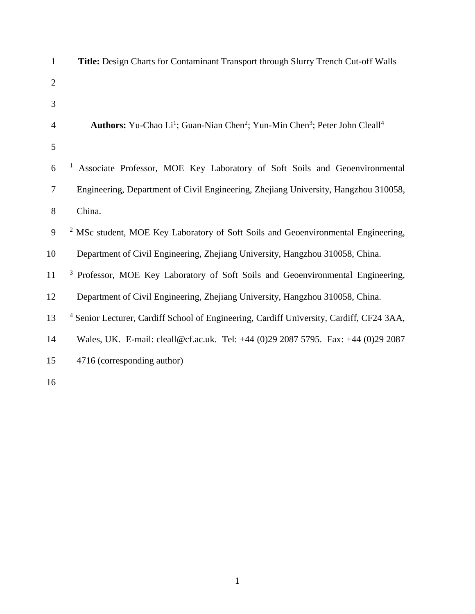| $\mathbf{1}$   | Title: Design Charts for Contaminant Transport through Slurry Trench Cut-off Walls                                                 |
|----------------|------------------------------------------------------------------------------------------------------------------------------------|
| $\overline{2}$ |                                                                                                                                    |
| 3              |                                                                                                                                    |
| 4              | <b>Authors:</b> Yu-Chao Li <sup>1</sup> ; Guan-Nian Chen <sup>2</sup> ; Yun-Min Chen <sup>3</sup> ; Peter John Cleall <sup>4</sup> |
| 5              |                                                                                                                                    |
| 6              | Associate Professor, MOE Key Laboratory of Soft Soils and Geoenvironmental                                                         |
| $\tau$         | Engineering, Department of Civil Engineering, Zhejiang University, Hangzhou 310058,                                                |
| 8              | China.                                                                                                                             |
| 9              | <sup>2</sup> MSc student, MOE Key Laboratory of Soft Soils and Geoenvironmental Engineering,                                       |
| 10             | Department of Civil Engineering, Zhejiang University, Hangzhou 310058, China.                                                      |
| 11             | <sup>3</sup> Professor, MOE Key Laboratory of Soft Soils and Geoenvironmental Engineering,                                         |
| 12             | Department of Civil Engineering, Zhejiang University, Hangzhou 310058, China.                                                      |
| 13             | <sup>4</sup> Senior Lecturer, Cardiff School of Engineering, Cardiff University, Cardiff, CF24 3AA,                                |
| 14             | Wales, UK. E-mail: cleall@cf.ac.uk. Tel: +44 (0)29 2087 5795. Fax: +44 (0)29 2087                                                  |
| 15             | 4716 (corresponding author)                                                                                                        |
| 16             |                                                                                                                                    |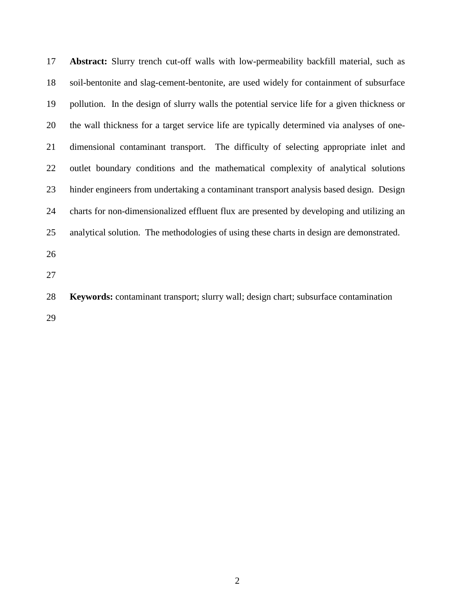17 **Abstract:** Slurry trench cut-off walls with low-permeability backfill material, such as 18 soil-bentonite and slag-cement-bentonite, are used widely for containment of subsurface 19 pollution. In the design of slurry walls the potential service life for a given thickness or 20 the wall thickness for a target service life are typically determined via analyses of one-21 dimensional contaminant transport. The difficulty of selecting appropriate inlet and 22 outlet boundary conditions and the mathematical complexity of analytical solutions 23 hinder engineers from undertaking a contaminant transport analysis based design. Design 24 charts for non-dimensionalized effluent flux are presented by developing and utilizing an 25 analytical solution. The methodologies of using these charts in design are demonstrated.

- 26
- 27

28 **Keywords:** contaminant transport; slurry wall; design chart; subsurface contamination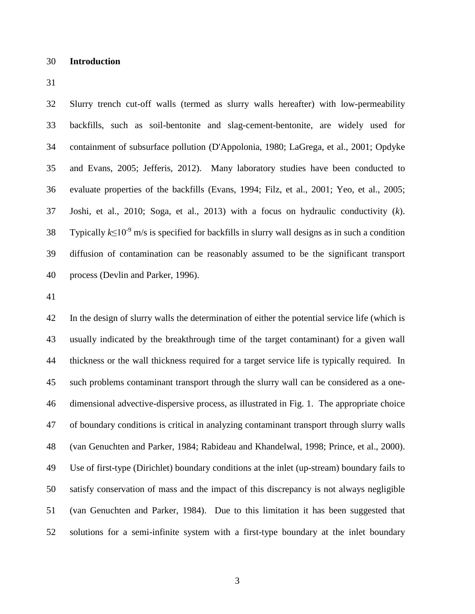#### 30 **Introduction**

31

32 Slurry trench cut-off walls (termed as slurry walls hereafter) with low-permeability 33 backfills, such as soil-bentonite and slag-cement-bentonite, are widely used for 34 containment of subsurface pollution (D'Appolonia, 1980; LaGrega, et al., 2001; Opdyke 35 and Evans, 2005; Jefferis, 2012). Many laboratory studies have been conducted to 36 evaluate properties of the backfills (Evans, 1994; Filz, et al., 2001; Yeo, et al., 2005; 37 Joshi, et al., 2010; Soga, et al., 2013) with a focus on hydraulic conductivity (*k*). Typically  $k \leq 10^{-9}$  m/s is specified for backfills in slurry wall designs as in such a condition 39 diffusion of contamination can be reasonably assumed to be the significant transport 40 process (Devlin and Parker, 1996).

41

42 In the design of slurry walls the determination of either the potential service life (which is 43 usually indicated by the breakthrough time of the target contaminant) for a given wall 44 thickness or the wall thickness required for a target service life is typically required. In 45 such problems contaminant transport through the slurry wall can be considered as a one-46 dimensional advective-dispersive process, as illustrated in Fig. 1. The appropriate choice 47 of boundary conditions is critical in analyzing contaminant transport through slurry walls 48 (van Genuchten and Parker, 1984; Rabideau and Khandelwal, 1998; Prince, et al., 2000). 49 Use of first-type (Dirichlet) boundary conditions at the inlet (up-stream) boundary fails to 50 satisfy conservation of mass and the impact of this discrepancy is not always negligible 51 (van Genuchten and Parker, 1984). Due to this limitation it has been suggested that 52 solutions for a semi-infinite system with a first-type boundary at the inlet boundary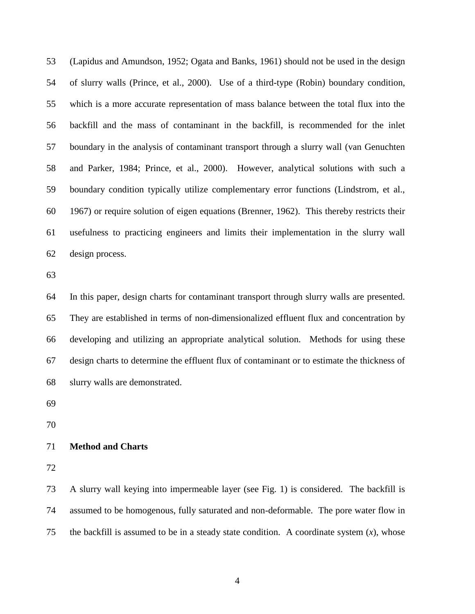53 (Lapidus and Amundson, 1952; Ogata and Banks, 1961) should not be used in the design 54 of slurry walls (Prince, et al., 2000). Use of a third-type (Robin) boundary condition, 55 which is a more accurate representation of mass balance between the total flux into the 56 backfill and the mass of contaminant in the backfill, is recommended for the inlet 57 boundary in the analysis of contaminant transport through a slurry wall (van Genuchten 58 and Parker, 1984; Prince, et al., 2000). However, analytical solutions with such a 59 boundary condition typically utilize complementary error functions (Lindstrom, et al., 60 1967) or require solution of eigen equations (Brenner, 1962). This thereby restricts their 61 usefulness to practicing engineers and limits their implementation in the slurry wall 62 design process.

63

64 In this paper, design charts for contaminant transport through slurry walls are presented. 65 They are established in terms of non-dimensionalized effluent flux and concentration by 66 developing and utilizing an appropriate analytical solution. Methods for using these 67 design charts to determine the effluent flux of contaminant or to estimate the thickness of 68 slurry walls are demonstrated.

69

70

## 71 **Method and Charts**

72

73 A slurry wall keying into impermeable layer (see Fig. 1) is considered. The backfill is 74 assumed to be homogenous, fully saturated and non-deformable. The pore water flow in 75 the backfill is assumed to be in a steady state condition. A coordinate system (*x*), whose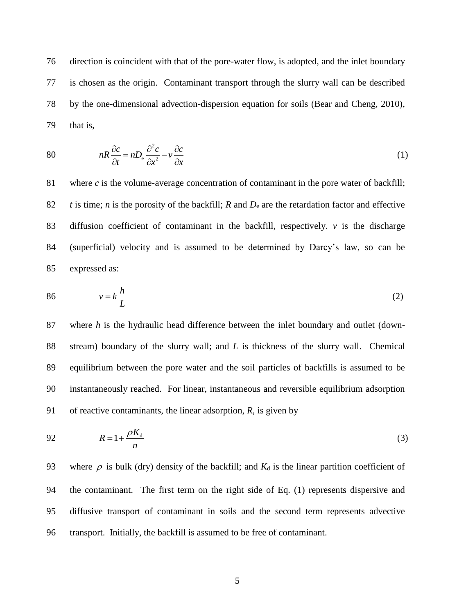76 direction is coincident with that of the pore-water flow, is adopted, and the inlet boundary 77 is chosen as the origin. Contaminant transport through the slurry wall can be described 78 by the one-dimensional advection-dispersion equation for soils (Bear and Cheng, 2010), 79 that is,

80 
$$
nR\frac{\partial c}{\partial t} = nD_e \frac{\partial^2 c}{\partial x^2} - v \frac{\partial c}{\partial x}
$$
 (1)

81 where *c* is the volume-average concentration of contaminant in the pore water of backfill; 82 *t* is time; *n* is the porosity of the backfill; *R* and  $D_e$  are the retardation factor and effective 83 diffusion coefficient of contaminant in the backfill, respectively. *v* is the discharge 84 (superficial) velocity and is assumed to be determined by Darcy's law, so can be 85 expressed as:

$$
86 \t v = k \frac{h}{L} \t (2)
$$

87 where *h* is the hydraulic head difference between the inlet boundary and outlet (down-88 stream) boundary of the slurry wall; and *L* is thickness of the slurry wall. Chemical 89 equilibrium between the pore water and the soil particles of backfills is assumed to be 90 instantaneously reached. For linear, instantaneous and reversible equilibrium adsorption 91 of reactive contaminants, the linear adsorption, *R*, is given by

$$
R = 1 + \frac{\rho K_d}{n} \tag{3}
$$

93 where  $\rho$  is bulk (dry) density of the backfill; and  $K_d$  is the linear partition coefficient of 94 the contaminant. The first term on the right side of Eq. (1) represents dispersive and 95 diffusive transport of contaminant in soils and the second term represents advective 96 transport. Initially, the backfill is assumed to be free of contaminant.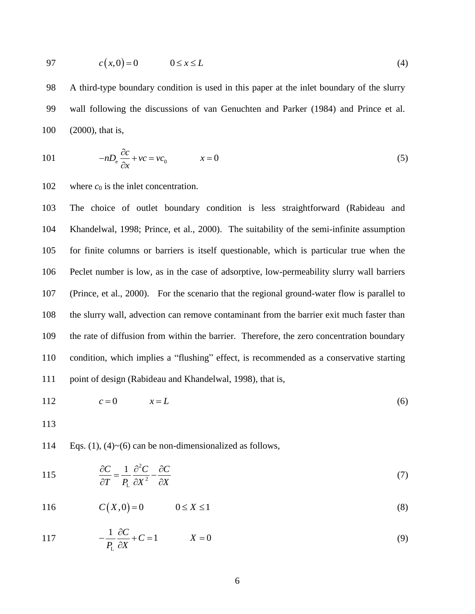$$
97 \qquad c(x,0) = 0 \qquad 0 \le x \le L \tag{4}
$$

98 A third-type boundary condition is used in this paper at the inlet boundary of the slurry 99 wall following the discussions of van Genuchten and Parker (1984) and Prince et al. 100 (2000), that is,

101 
$$
-nD_e \frac{\partial c}{\partial x} + vc = vc_0 \qquad x = 0 \tag{5}
$$

102 where  $c_0$  is the inlet concentration.

103 The choice of outlet boundary condition is less straightforward (Rabideau and 104 Khandelwal, 1998; Prince, et al., 2000). The suitability of the semi-infinite assumption 105 for finite columns or barriers is itself questionable, which is particular true when the 106 Peclet number is low, as in the case of adsorptive, low-permeability slurry wall barriers 107 (Prince, et al., 2000). For the scenario that the regional ground-water flow is parallel to 108 the slurry wall, advection can remove contaminant from the barrier exit much faster than 109 the rate of diffusion from within the barrier. Therefore, the zero concentration boundary 110 condition, which implies a "flushing" effect, is recommended as a conservative starting 111 point of design (Rabideau and Khandelwal, 1998), that is,

$$
112 \t\t\t c=0 \t\t x=L \t\t (6)
$$

113

114 Eqs.  $(1)$ ,  $(4)$   $\sim$   $(6)$  can be non-dimensionalized as follows,

115 
$$
\frac{\partial C}{\partial T} = \frac{1}{P_{\rm L}} \frac{\partial^2 C}{\partial X^2} - \frac{\partial C}{\partial X}
$$
 (7)

$$
116 \t C(X,0) = 0 \t 0 \le X \le 1 \t (8)
$$

117 
$$
-\frac{1}{P_{\rm L}}\frac{\partial C}{\partial X} + C = 1 \qquad X = 0 \tag{9}
$$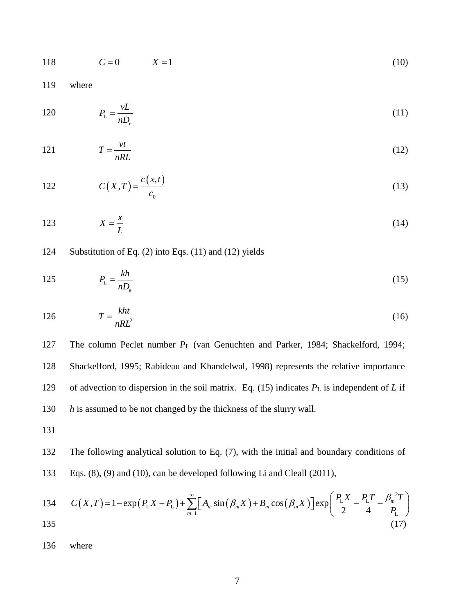$$
118 \t C = 0 \t X = 1 \t (10)
$$

119 where

$$
P_{\rm L} = \frac{vL}{nD_{\rm e}}\tag{11}
$$

$$
T = \frac{vt}{nRL} \tag{12}
$$

122 
$$
C(X,T) = \frac{c(x,t)}{c_0}
$$
 (13)

$$
123 \t\t X = \frac{x}{L} \t\t(14)
$$

## 124 Substitution of Eq. (2) into Eqs. (11) and (12) yields

$$
P_{\rm L} = \frac{kh}{nD_{\rm e}}\tag{15}
$$

$$
126 \t\t T = \frac{kht}{nRL^2} \t\t(16)
$$

127 The column Peclet number *P*L (van Genuchten and Parker, 1984; Shackelford, 1994; 128 Shackelford, 1995; Rabideau and Khandelwal, 1998) represents the relative importance 129 of advection to dispersion in the soil matrix. Eq. (15) indicates *P*L is independent of *L* if 130 *h* is assumed to be not changed by the thickness of the slurry wall.

131

132 The following analytical solution to Eq. (7), with the initial and boundary conditions of 133 Eqs. (8), (9) and (10), can be developed following Li and Cleall (2011),

134 
$$
C(X,T) = 1 - \exp(P_L X - P_L) + \sum_{m=1}^{\infty} \left[ A_m \sin(\beta_m X) + B_m \cos(\beta_m X) \right] \exp\left( \frac{P_L X}{2} - \frac{P_L T}{4} - \frac{\beta_m^2 T}{P_L} \right)
$$
  
135 (17)

136 where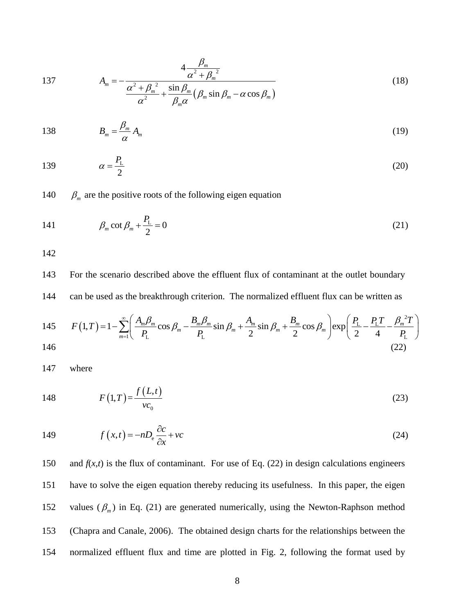137 
$$
A_m = -\frac{4\frac{\beta_m}{\alpha^2 + \beta_m^2}}{\frac{\alpha^2 + \beta_m^2}{\alpha^2} + \frac{\sin \beta_m}{\beta_m \alpha} (\beta_m \sin \beta_m - \alpha \cos \beta_m)}
$$
(18)

138 
$$
B_m = \frac{\beta_m}{\alpha} A_m \tag{19}
$$

$$
\alpha = \frac{P_{\rm L}}{2} \tag{20}
$$

140  $\beta_m$  are the positive roots of the following eigen equation

$$
141 \qquad \qquad \beta_m \cot \beta_m + \frac{P_L}{2} = 0 \tag{21}
$$

142

143 For the scenario described above the effluent flux of contaminant at the outlet boundary 144 can be used as the breakthrough criterion. The normalized effluent flux can be written as

145 
$$
F(1,T) = 1 - \sum_{m=1}^{\infty} \left( \frac{A_m \beta_m}{P_L} \cos \beta_m - \frac{B_m \beta_m}{P_L} \sin \beta_m + \frac{A_m}{2} \sin \beta_m + \frac{B_m}{2} \cos \beta_m \right) \exp\left( \frac{P_L}{2} - \frac{P_L T}{4} - \frac{\beta_m^2 T}{P_L} \right)
$$
  
146 (22)

147 where

148 
$$
F(1,T) = \frac{f(L,t)}{vc_0}
$$
 (23)

149 
$$
f(x,t) = -nD_e \frac{\partial c}{\partial x} + vc
$$
 (24)

and 
$$
f(x,t)
$$
 is the flux of contaminant. For use of Eq. (22) in design calculations engineers  
have to solve the eigen equation thereby reducing its usefulness. In this paper, the eigen  
values ( $\beta_m$ ) in Eq. (21) are generated numerically, using the Newton-Raphson method  
(Chapra and Canale, 2006). The obtained design charts for the relationships between the  
normalized effluent flux and time are plotted in Fig. 2, following the format used by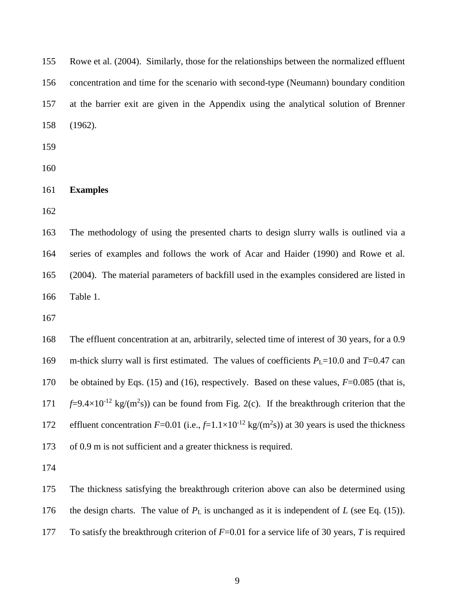155 Rowe et al. (2004). Similarly, those for the relationships between the normalized effluent 156 concentration and time for the scenario with second-type (Neumann) boundary condition 157 at the barrier exit are given in the Appendix using the analytical solution of Brenner 158 (1962).

159

160

## 161 **Examples**

162

163 The methodology of using the presented charts to design slurry walls is outlined via a 164 series of examples and follows the work of Acar and Haider (1990) and Rowe et al. 165 (2004). The material parameters of backfill used in the examples considered are listed in 166 Table 1.

167

168 The effluent concentration at an, arbitrarily, selected time of interest of 30 years, for a 0.9 169 m-thick slurry wall is first estimated. The values of coefficients  $P_L$ =10.0 and *T*=0.47 can 170 be obtained by Eqs. (15) and (16), respectively. Based on these values, *F*=0.085 (that is, 171  $f=9.4\times10^{-12}$  kg/(m<sup>2</sup>s)) can be found from Fig. 2(c). If the breakthrough criterion that the 172 effluent concentration  $F=0.01$  (i.e.,  $f=1.1\times10^{-12}$  kg/(m<sup>2</sup>s)) at 30 years is used the thickness 173 of 0.9 m is not [sufficient](http://www.iciba.com/sufficient) and a greater thickness is required.

174

175 The thickness satisfying the breakthrough criterion above can also be determined using

176 the design charts. The value of  $P<sub>L</sub>$  is unchanged as it is independent of *L* (see Eq. (15)).

177 To satisfy the breakthrough criterion of *F*=0.01 for a service life of 30 years, *T* is required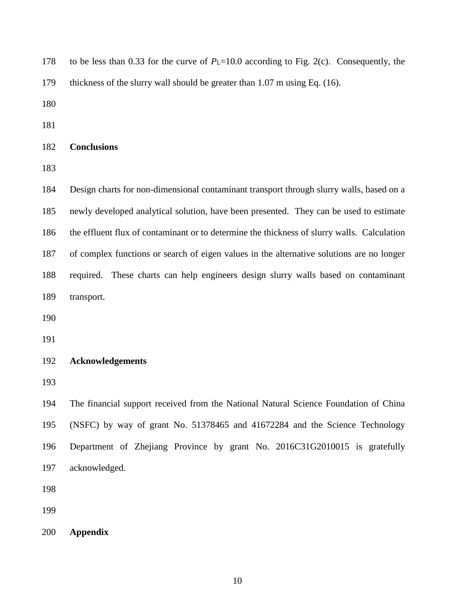| 178 | to be less than 0.33 for the curve of $P_L$ =10.0 according to Fig. 2(c). Consequently, the |
|-----|---------------------------------------------------------------------------------------------|
| 179 | thickness of the slurry wall should be greater than $1.07$ m using Eq. $(16)$ .             |
| 180 |                                                                                             |
| 181 |                                                                                             |
| 182 | <b>Conclusions</b>                                                                          |
| 183 |                                                                                             |
| 184 | Design charts for non-dimensional contaminant transport through slurry walls, based on a    |
| 185 | newly developed analytical solution, have been presented. They can be used to estimate      |
| 186 | the effluent flux of contaminant or to determine the thickness of slurry walls. Calculation |
| 187 | of complex functions or search of eigen values in the alternative solutions are no longer   |
| 188 | required. These charts can help engineers design slurry walls based on contaminant          |
| 189 | transport.                                                                                  |
| 190 |                                                                                             |
| 191 |                                                                                             |
| 192 | <b>Acknowledgements</b>                                                                     |
| 193 |                                                                                             |
| 194 | The financial support received from the National Natural Science Foundation of China        |
| 195 | (NSFC) by way of grant No. 51378465 and 41672284 and the Science Technology                 |
| 196 | Department of Zhejiang Province by grant No. 2016C31G2010015 is gratefully                  |
| 197 | acknowledged.                                                                               |
| 198 |                                                                                             |
| 199 |                                                                                             |
|     |                                                                                             |

200 **Appendix**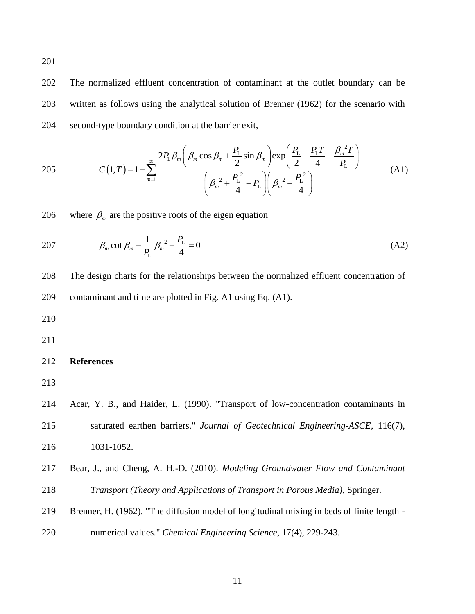202 The normalized effluent concentration of contaminant at the outlet boundary can be 203 written as follows using the analytical solution of Brenner (1962) for the scenario with 204 second-type boundary condition at the barrier exit,

205 
$$
C(1,T) = 1 - \sum_{m=1}^{\infty} \frac{2P_{L}\beta_{m}\left(\beta_{m}\cos\beta_{m} + \frac{P_{L}}{2}\sin\beta_{m}\right)\exp\left(\frac{P_{L}}{2} - \frac{P_{L}T}{4} - \frac{\beta_{m}^{2}T}{P_{L}}\right)}{\left(\beta_{m}^{2} + \frac{P_{L}^{2}}{4} + P_{L}\right)\left(\beta_{m}^{2} + \frac{P_{L}^{2}}{4}\right)}
$$
(A1)

206 where  $\beta_m$  are the positive roots of the eigen equation

207 
$$
\beta_m \cot \beta_m - \frac{1}{P_L} \beta_m^2 + \frac{P_L}{4} = 0
$$
 (A2)

208 The design charts for the relationships between the normalized effluent concentration of 209 contaminant and time are plotted in Fig. A1 using Eq. (A1).

210

211

## 212 **References**

213

214 Acar, Y. B., and Haider, L. (1990). "Transport of low-concentration contaminants in 215 saturated earthen barriers." *Journal of Geotechnical Engineering-ASCE*, 116(7),

- 216 1031-1052.
- 217 Bear, J., and Cheng, A. H.-D. (2010). *Modeling Groundwater Flow and Contaminant*  218 *Transport (Theory and Applications of Transport in Porous Media)*, Springer.
- 219 Brenner, H. (1962). "The diffusion model of longitudinal mixing in beds of finite length -
- 220 numerical values." *Chemical Engineering Science*, 17(4), 229-243.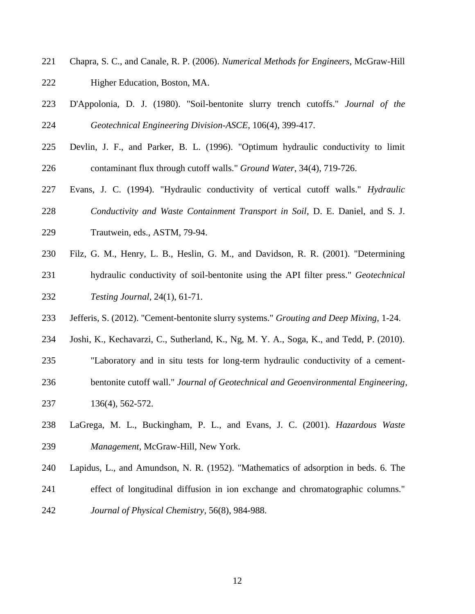- 221 Chapra, S. C., and Canale, R. P. (2006). *Numerical Methods for Engineers*, McGraw-Hill 222 Higher Education, Boston, MA.
- 223 D'Appolonia, D. J. (1980). "Soil-bentonite slurry trench cutoffs." *Journal of the*  224 *Geotechnical Engineering Division-ASCE*, 106(4), 399-417.
- 225 Devlin, J. F., and Parker, B. L. (1996). "Optimum hydraulic conductivity to limit 226 contaminant flux through cutoff walls." *Ground Water*, 34(4), 719-726.
- 227 Evans, J. C. (1994). "Hydraulic conductivity of vertical cutoff walls." *Hydraulic*  228 *Conductivity and Waste Containment Transport in Soil*, D. E. Daniel, and S. J. 229 Trautwein, eds., ASTM, 79-94.
- 230 Filz, G. M., Henry, L. B., Heslin, G. M., and Davidson, R. R. (2001). "Determining
- 231 hydraulic conductivity of soil-bentonite using the API filter press." *Geotechnical*  232 *Testing Journal*, 24(1), 61-71.
- 233 Jefferis, S. (2012). "Cement-bentonite slurry systems." *Grouting and Deep Mixing*, 1-24.
- 234 Joshi, K., Kechavarzi, C., Sutherland, K., Ng, M. Y. A., Soga, K., and Tedd, P. (2010).
- 235 "Laboratory and in situ tests for long-term hydraulic conductivity of a cement-236 bentonite cutoff wall." *Journal of Geotechnical and Geoenvironmental Engineering*,
- 237 136(4), 562-572.
- 238 LaGrega, M. L., Buckingham, P. L., and Evans, J. C. (2001). *Hazardous Waste*  239 *Management*, McGraw-Hill, New York.
- 240 Lapidus, L., and Amundson, N. R. (1952). "Mathematics of adsorption in beds. 6. The
- 241 effect of longitudinal diffusion in ion exchange and chromatographic columns."
- 242 *Journal of Physical Chemistry*, 56(8), 984-988.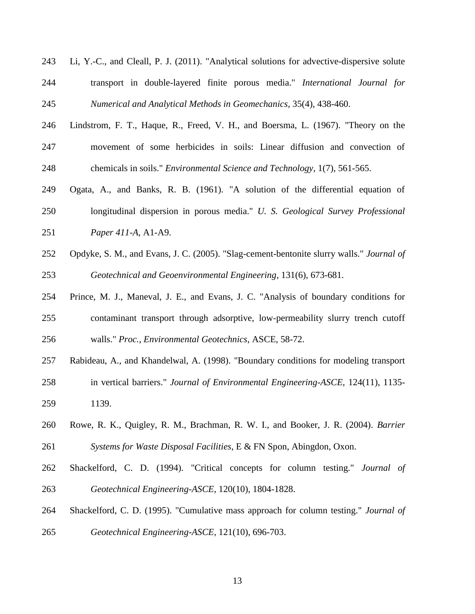- 243 Li, Y.-C., and Cleall, P. J. (2011). "Analytical solutions for advective-dispersive solute 244 transport in double-layered finite porous media." *International Journal for*  245 *Numerical and Analytical Methods in Geomechanics*, 35(4), 438-460.
- 246 Lindstrom, F. T., Haque, R., Freed, V. H., and Boersma, L. (1967). "Theory on the 247 movement of some herbicides in soils: Linear diffusion and convection of 248 chemicals in soils." *Environmental Science and Technology*, 1(7), 561-565.
- 249 Ogata, A., and Banks, R. B. (1961). "A solution of the differential equation of 250 longitudinal dispersion in porous media." *U. S. Geological Survey Professional*  251 *Paper 411-A*, A1-A9.
- 252 Opdyke, S. M., and Evans, J. C. (2005). "Slag-cement-bentonite slurry walls." *Journal of*  253 *Geotechnical and Geoenvironmental Engineering*, 131(6), 673-681.
- 254 Prince, M. J., Maneval, J. E., and Evans, J. C. "Analysis of boundary conditions for 255 contaminant transport through adsorptive, low-permeability slurry trench cutoff 256 walls." *Proc., Environmental Geotechnics*, ASCE, 58-72.
- 257 Rabideau, A., and Khandelwal, A. (1998). "Boundary conditions for modeling transport
- 258 in vertical barriers." *Journal of Environmental Engineering-ASCE*, 124(11), 1135- 259 1139.
- 260 Rowe, R. K., Quigley, R. M., Brachman, R. W. I., and Booker, J. R. (2004). *Barrier*  261 *Systems for Waste Disposal Facilities*, E & FN Spon, Abingdon, Oxon.
- 262 Shackelford, C. D. (1994). "Critical concepts for column testing." *Journal of*  263 *Geotechnical Engineering-ASCE*, 120(10), 1804-1828.
- 264 Shackelford, C. D. (1995). "Cumulative mass approach for column testing." *Journal of*  265 *Geotechnical Engineering-ASCE*, 121(10), 696-703.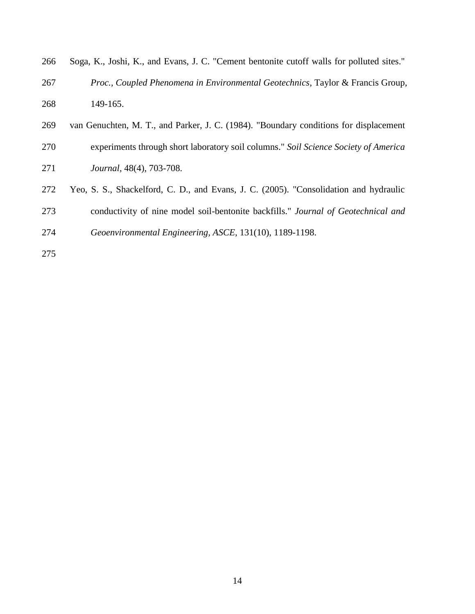| 266 | Soga, K., Joshi, K., and Evans, J. C. "Cement bentonite cutoff walls for polluted sites." |
|-----|-------------------------------------------------------------------------------------------|
| 267 | <i>Proc., Coupled Phenomena in Environmental Geotechnics, Taylor &amp; Francis Group,</i> |
| 268 | 149-165.                                                                                  |
| 269 | van Genuchten, M. T., and Parker, J. C. (1984). "Boundary conditions for displacement     |
| 270 | experiments through short laboratory soil columns." Soil Science Society of America       |
|     |                                                                                           |

- 271 *Journal*, 48(4), 703-708.
- 272 Yeo, S. S., Shackelford, C. D., and Evans, J. C. (2005). "Consolidation and hydraulic
- 273 conductivity of nine model soil-bentonite backfills." *Journal of Geotechnical and*
- 274 *Geoenvironmental Engineering, ASCE*, 131(10), 1189-1198.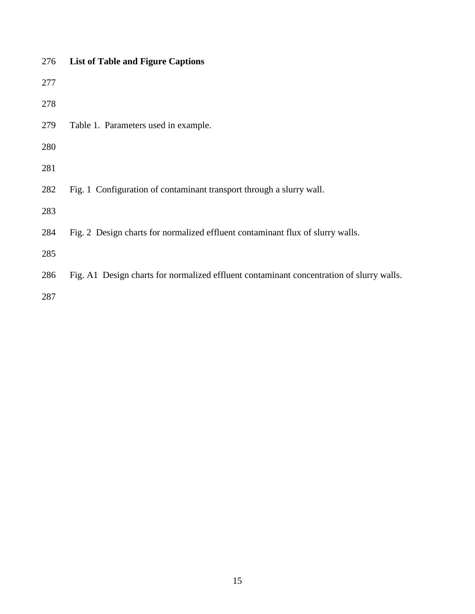| 276 | <b>List of Table and Figure Captions</b>                                                 |
|-----|------------------------------------------------------------------------------------------|
| 277 |                                                                                          |
| 278 |                                                                                          |
| 279 | Table 1. Parameters used in example.                                                     |
| 280 |                                                                                          |
| 281 |                                                                                          |
| 282 | Fig. 1 Configuration of contaminant transport through a slurry wall.                     |
| 283 |                                                                                          |
| 284 | Fig. 2 Design charts for normalized effluent contaminant flux of slurry walls.           |
| 285 |                                                                                          |
| 286 | Fig. A1 Design charts for normalized effluent contaminant concentration of slurry walls. |
| 287 |                                                                                          |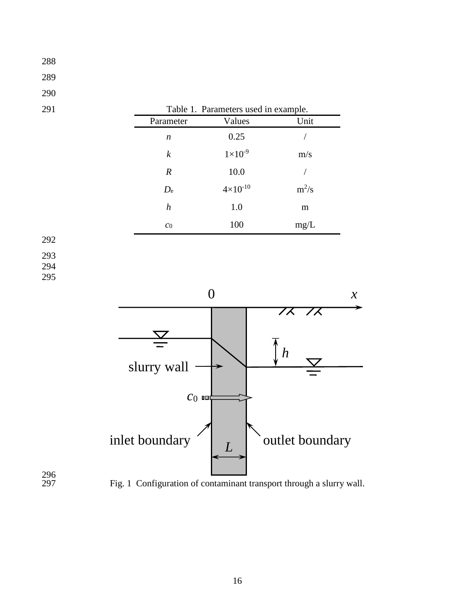| 289               |                      |                                      |                                                  |
|-------------------|----------------------|--------------------------------------|--------------------------------------------------|
| 290               |                      |                                      |                                                  |
| 291               |                      | Table 1. Parameters used in example. |                                                  |
|                   | Parameter            | Values                               | Unit                                             |
|                   | $\boldsymbol{n}$     | 0.25                                 | /                                                |
|                   | $\boldsymbol{k}$     | $1\times10^{\text{-9}}$              | m/s                                              |
|                   | $\boldsymbol{R}$     | $10.0\,$                             | $\sqrt{\phantom{a}}$                             |
|                   | $D_{\rm e}$          | $4 \times 10^{-10}$                  | $m^2/s$                                          |
|                   | $\boldsymbol{h}$     | $1.0\,$                              | ${\bf m}$                                        |
|                   | $\mathcal{C}0$       | $100\,$                              | $mg/L$                                           |
| 292               |                      |                                      |                                                  |
| 293<br>294<br>295 |                      | $\boldsymbol{0}$                     | $\boldsymbol{\mathcal{X}}$                       |
|                   |                      |                                      | $\overline{z}$<br><b>/ X</b><br>$\boldsymbol{h}$ |
|                   | slurry wall<br>$c_0$ |                                      |                                                  |
| 296               | inlet boundary       | $\boldsymbol{L}$                     | outlet boundary                                  |

297

Fig. 1 Configuration of contaminant transport through a slurry wall.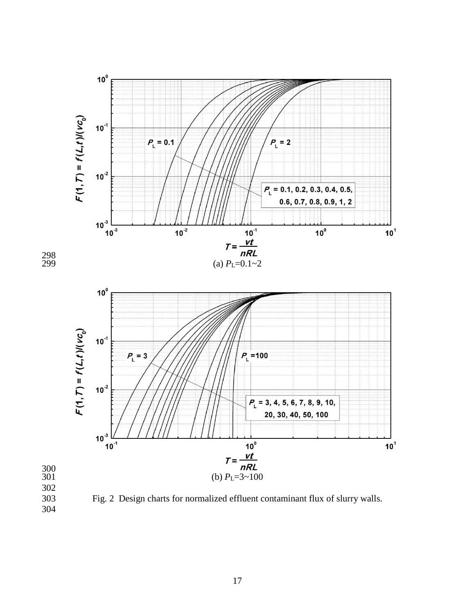



303 Fig. 2 Design charts for normalized effluent contaminant flux of slurry walls.